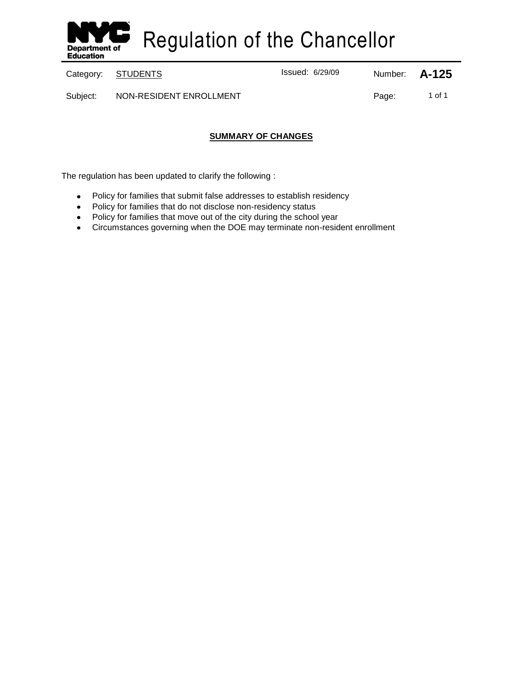

Regulation of the Chancellor

Category: **STUDENTS ISSUED:** Issued: 6/29/09 Number: **A-125** 

Subject: NON-RESIDENT ENROLLMENT Notice and the contract of 1 of 1

## **SUMMARY OF CHANGES**

The regulation has been updated to clarify the following :

- $\bullet$ Policy for families that submit false addresses to establish residency
- Policy for families that do not disclose non-residency status
- Policy for families that move out of the city during the school year
- Circumstances governing when the DOE may terminate non-resident enrollment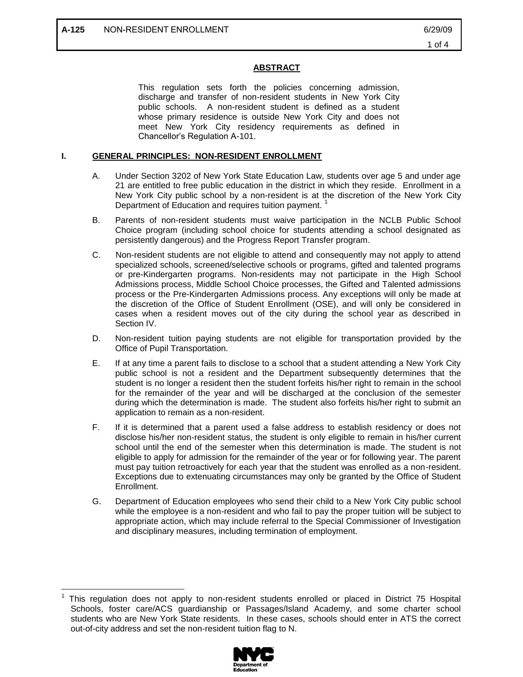$\overline{a}$ 

### **ABSTRACT**

This regulation sets forth the policies concerning admission, discharge and transfer of non-resident students in New York City public schools. A non-resident student is defined as a student whose primary residence is outside New York City and does not meet New York City residency requirements as defined in Chancellor's Regulation A-101.

#### **I. GENERAL PRINCIPLES: NON-RESIDENT ENROLLMENT**

- A. Under Section 3202 of New York State Education Law, students over age 5 and under age 21 are entitled to free public education in the district in which they reside. Enrollment in a New York City public school by a non-resident is at the discretion of the New York City Department of Education and requires tuition payment.
- B. Parents of non-resident students must waive participation in the NCLB Public School Choice program (including school choice for students attending a school designated as persistently dangerous) and the Progress Report Transfer program.
- C. Non-resident students are not eligible to attend and consequently may not apply to attend specialized schools, screened/selective schools or programs, gifted and talented programs or pre-Kindergarten programs. Non-residents may not participate in the High School Admissions process, Middle School Choice processes, the Gifted and Talented admissions process or the Pre-Kindergarten Admissions process. Any exceptions will only be made at the discretion of the Office of Student Enrollment (OSE), and will only be considered in cases when a resident moves out of the city during the school year as described in Section IV.
- D. Non-resident tuition paying students are not eligible for transportation provided by the Office of Pupil Transportation.
- E. If at any time a parent fails to disclose to a school that a student attending a New York City public school is not a resident and the Department subsequently determines that the student is no longer a resident then the student forfeits his/her right to remain in the school for the remainder of the year and will be discharged at the conclusion of the semester during which the determination is made. The student also forfeits his/her right to submit an application to remain as a non-resident.
- F. If it is determined that a parent used a false address to establish residency or does not disclose his/her non-resident status, the student is only eligible to remain in his/her current school until the end of the semester when this determination is made. The student is not eligible to apply for admission for the remainder of the year or for following year. The parent must pay tuition retroactively for each year that the student was enrolled as a non-resident. Exceptions due to extenuating circumstances may only be granted by the Office of Student Enrollment.
- G. Department of Education employees who send their child to a New York City public school while the employee is a non-resident and who fail to pay the proper tuition will be subject to appropriate action, which may include referral to the Special Commissioner of Investigation and disciplinary measures, including termination of employment.

<sup>1</sup> This regulation does not apply to non-resident students enrolled or placed in District 75 Hospital Schools, foster care/ACS guardianship or Passages/Island Academy, and some charter school students who are New York State residents. In these cases, schools should enter in ATS the correct out-of-city address and set the non-resident tuition flag to N.

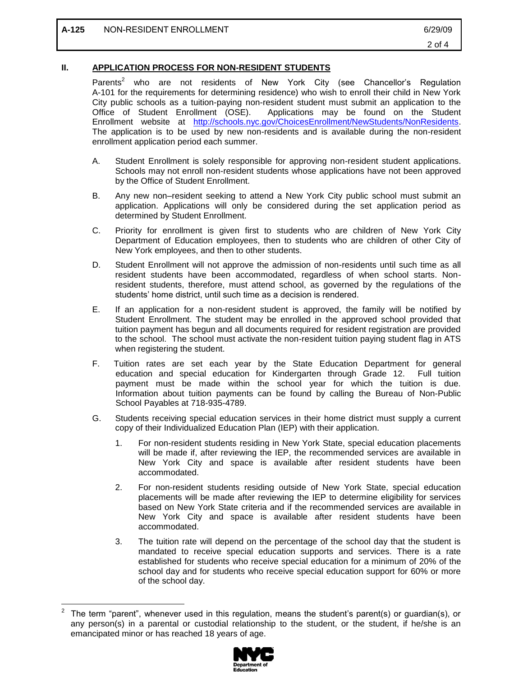$\overline{a}$ 

#### **II. APPLICATION PROCESS FOR NON-RESIDENT STUDENTS**

Parents<sup>2</sup> who are not residents of New York City (see Chancellor's Regulation A-101 for the requirements for determining residence) who wish to enroll their child in New York City public schools as a tuition-paying non-resident student must submit an application to the Office of Student Enrollment (OSE). Applications may be found on the Student Enrollment website at [http://schools.nyc.gov/ChoicesEnrollment/NewStudents/NonResidents.](http://schools.nyc.gov/ChoicesEnrollment/NewStudents/NonResidents) The application is to be used by new non-residents and is available during the non-resident enrollment application period each summer.

- A. Student Enrollment is solely responsible for approving non-resident student applications. Schools may not enroll non-resident students whose applications have not been approved by the Office of Student Enrollment.
- B. Any new non–resident seeking to attend a New York City public school must submit an application. Applications will only be considered during the set application period as determined by Student Enrollment.
- C. Priority for enrollment is given first to students who are children of New York City Department of Education employees, then to students who are children of other City of New York employees, and then to other students.
- D. Student Enrollment will not approve the admission of non-residents until such time as all resident students have been accommodated, regardless of when school starts. Nonresident students, therefore, must attend school, as governed by the regulations of the students' home district, until such time as a decision is rendered.
- E. If an application for a non-resident student is approved, the family will be notified by Student Enrollment. The student may be enrolled in the approved school provided that tuition payment has begun and all documents required for resident registration are provided to the school. The school must activate the non-resident tuition paying student flag in ATS when registering the student.
- F. Tuition rates are set each year by the State Education Department for general education and special education for Kindergarten through Grade 12. Full tuition payment must be made within the school year for which the tuition is due. Information about tuition payments can be found by calling the Bureau of Non-Public School Payables at 718-935-4789.
- G. Students receiving special education services in their home district must supply a current copy of their Individualized Education Plan (IEP) with their application.
	- 1. For non-resident students residing in New York State, special education placements will be made if, after reviewing the IEP, the recommended services are available in New York City and space is available after resident students have been accommodated.
	- 2. For non-resident students residing outside of New York State, special education placements will be made after reviewing the IEP to determine eligibility for services based on New York State criteria and if the recommended services are available in New York City and space is available after resident students have been accommodated.
	- 3. The tuition rate will depend on the percentage of the school day that the student is mandated to receive special education supports and services. There is a rate established for students who receive special education for a minimum of 20% of the school day and for students who receive special education support for 60% or more of the school day.

<sup>2</sup> The term "parent", whenever used in this regulation, means the student's parent(s) or guardian(s), or any person(s) in a parental or custodial relationship to the student, or the student, if he/she is an emancipated minor or has reached 18 years of age.

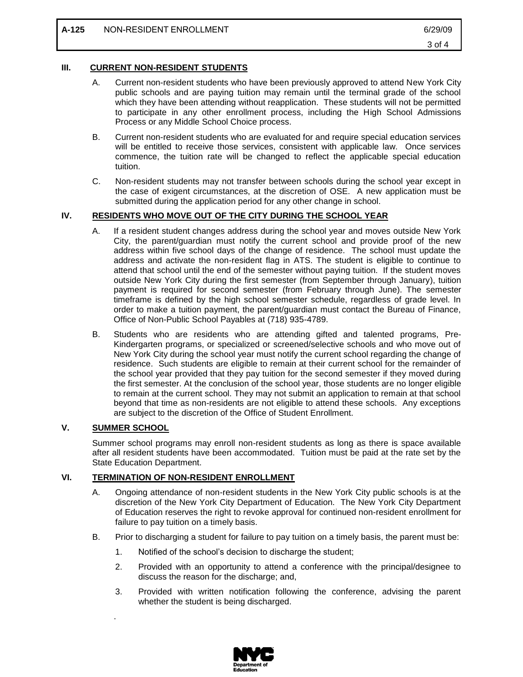#### **III. CURRENT NON-RESIDENT STUDENTS**

- A. Current non-resident students who have been previously approved to attend New York City public schools and are paying tuition may remain until the terminal grade of the school which they have been attending without reapplication. These students will not be permitted to participate in any other enrollment process, including the High School Admissions Process or any Middle School Choice process.
- B. Current non-resident students who are evaluated for and require special education services will be entitled to receive those services, consistent with applicable law. Once services commence, the tuition rate will be changed to reflect the applicable special education tuition.
- C. Non-resident students may not transfer between schools during the school year except in the case of exigent circumstances, at the discretion of OSE. A new application must be submitted during the application period for any other change in school.

#### **IV. RESIDENTS WHO MOVE OUT OF THE CITY DURING THE SCHOOL YEAR**

- A. If a resident student changes address during the school year and moves outside New York City, the parent/guardian must notify the current school and provide proof of the new address within five school days of the change of residence. The school must update the address and activate the non-resident flag in ATS. The student is eligible to continue to attend that school until the end of the semester without paying tuition. If the student moves outside New York City during the first semester (from September through January), tuition payment is required for second semester (from February through June). The semester timeframe is defined by the high school semester schedule, regardless of grade level. In order to make a tuition payment, the parent/guardian must contact the Bureau of Finance, Office of Non-Public School Payables at (718) 935-4789.
- B. Students who are residents who are attending gifted and talented programs, Pre-Kindergarten programs, or specialized or screened/selective schools and who move out of New York City during the school year must notify the current school regarding the change of residence. Such students are eligible to remain at their current school for the remainder of the school year provided that they pay tuition for the second semester if they moved during the first semester. At the conclusion of the school year, those students are no longer eligible to remain at the current school. They may not submit an application to remain at that school beyond that time as non-residents are not eligible to attend these schools. Any exceptions are subject to the discretion of the Office of Student Enrollment.

## **V. SUMMER SCHOOL**

.

Summer school programs may enroll non-resident students as long as there is space available after all resident students have been accommodated. Tuition must be paid at the rate set by the State Education Department.

#### **VI. TERMINATION OF NON-RESIDENT ENROLLMENT**

- A. Ongoing attendance of non-resident students in the New York City public schools is at the discretion of the New York City Department of Education. The New York City Department of Education reserves the right to revoke approval for continued non-resident enrollment for failure to pay tuition on a timely basis.
- B. Prior to discharging a student for failure to pay tuition on a timely basis, the parent must be:
	- 1. Notified of the school's decision to discharge the student;
	- 2. Provided with an opportunity to attend a conference with the principal/designee to discuss the reason for the discharge; and,
	- 3. Provided with written notification following the conference, advising the parent whether the student is being discharged.